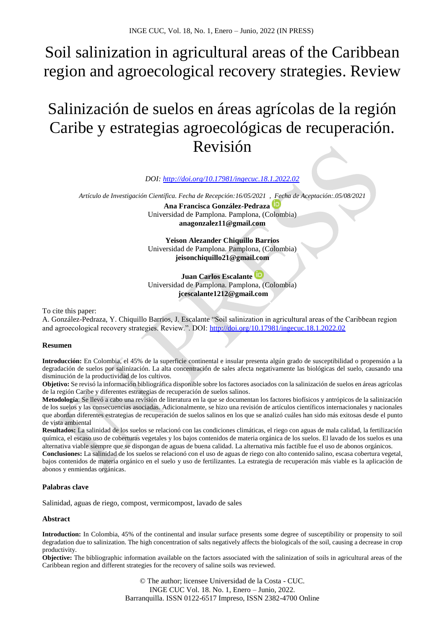# Soil salinization in agricultural areas of the Caribbean region and agroecological recovery strategies. Review

# Salinización de suelos en áreas agrícolas de la región Caribe y estrategias agroecológicas de recuperación. Revisión

*DOI: <http://doi.org/10.17981/ingecuc.18.1.2022.02>*

*Artículo de Investigación Científica. Fecha de Recepción:16/05/2021 , Fecha de Aceptación:.05/08/2021* **Ana Francisca González-Pedraza**

Universidad de Pamplona. Pamplona, (Colombia) **[anagonzalez11@gmail.com](mailto:anagonzalez11@gmail.com)**

**Yeison Alezander Chiquillo Barrios** Universidad de Pamplona. Pamplona, (Colombia) **[jeisonchiquillo21@gmail.com](mailto:jeisonchiquillo21@gmail.com)** 

# **Juan Carlos Escalante**

Universidad de Pamplona. Pamplona, (Colombia) **[jcescalante1212@gmail.com](mailto:jcescalante1212@gmail.com)**

To cite this paper:

A. González-Pedraza, Y. Chiquillo Barrios, J. Escalante "Soil salinization in agricultural areas of the Caribbean region and agroecological recovery strategies. Review.". DOI:<http://doi.org/10.17981/ingecuc.18.1.2022.02>

## **Resumen**

**Introducción:** En Colombia, el 45% de la superficie continental e insular presenta algún grado de susceptibilidad o propensión a la degradación de suelos por salinización. La alta concentración de sales afecta negativamente las biológicas del suelo, causando una disminución de la productividad de los cultivos.

**Objetivo:** Se revisó la información bibliográfica disponible sobre los factores asociados con la salinización de suelos en áreas agrícolas de la región Caribe y diferentes estrategias de recuperación de suelos salinos.

**Metodología**: Se llevó a cabo una revisión de literatura en la que se documentan los factores biofísicos y antrópicos de la salinización de los suelos y las consecuencias asociadas. Adicionalmente, se hizo una revisión de artículos científicos internacionales y nacionales que abordan diferentes estrategias de recuperación de suelos salinos en los que se analizó cuáles han sido más exitosas desde el punto de vista ambiental

**Resultados:** La salinidad de los suelos se relacionó con las condiciones climáticas, el riego con aguas de mala calidad, la fertilización química, el escaso uso de coberturas vegetales y los bajos contenidos de materia orgánica de los suelos. El lavado de los suelos es una alternativa viable siempre que se dispongan de aguas de buena calidad. La alternativa más factible fue el uso de abonos orgánicos.

**Conclusiones:** La salinidad de los suelos se relacionó con el uso de aguas de riego con alto contenido salino, escasa cobertura vegetal, bajos contenidos de materia orgánico en el suelo y uso de fertilizantes. La estrategia de recuperación más viable es la aplicación de abonos y enmiendas orgánicas.

# **Palabras clave**

Salinidad, aguas de riego, compost, vermicompost, lavado de sales

## **Abstract**

**Introduction:** In Colombia, 45% of the continental and insular surface presents some degree of susceptibility or propensity to soil degradation due to salinization. The high concentration of salts negatively affects the biologicals of the soil, causing a decrease in crop productivity.

**Objective:** The bibliographic information available on the factors associated with the salinization of soils in agricultural areas of the Caribbean region and different strategies for the recovery of saline soils was reviewed.

> © The author; licensee Universidad de la Costa - CUC. INGE CUC Vol. 18. No. 1, Enero – Junio, 2022. Barranquilla. ISSN 0122-6517 Impreso, ISSN 2382-4700 Online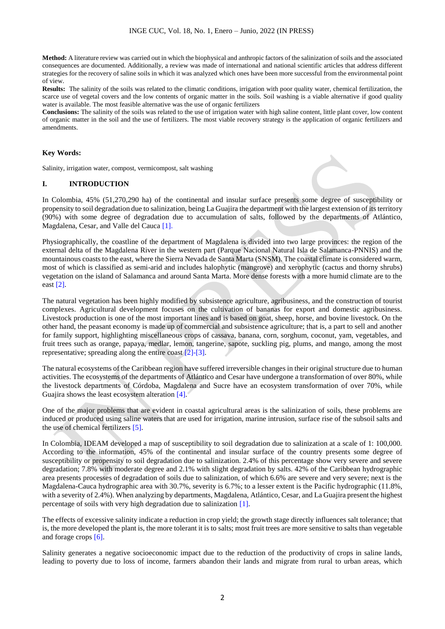**Method:** A literature review was carried out in which the biophysical and anthropic factors of the salinization of soils and the associated consequences are documented. Additionally, a review was made of international and national scientific articles that address different strategies for the recovery of saline soils in which it was analyzed which ones have been more successful from the environmental point of view.

**Results:** The salinity of the soils was related to the climatic conditions, irrigation with poor quality water, chemical fertilization, the scarce use of vegetal covers and the low contents of organic matter in the soils. Soil washing is a viable alternative if good quality water is available. The most feasible alternative was the use of organic fertilizers

**Conclusions:** The salinity of the soils was related to the use of irrigation water with high saline content, little plant cover, low content of organic matter in the soil and the use of fertilizers. The most viable recovery strategy is the application of organic fertilizers and amendments.

#### **Key Words:**

Salinity, irrigation water, compost, vermicompost, salt washing

#### **I. INTRODUCTION**

In Colombia, 45% (51,270,290 ha) of the continental and insular surface presents some degree of susceptibility or propensity to soil degradation due to salinization, being La Guajira the department with the largest extension of its territory (90%) with some degree of degradation due to accumulation of salts, followed by the departments of Atlántico, Magdalena, Cesar, and Valle del Cauca [1].

Physiographically, the coastline of the department of Magdalena is divided into two large provinces: the region of the external delta of the Magdalena River in the western part (Parque Nacional Natural Isla de Salamanca-PNNIS) and the mountainous coasts to the east, where the Sierra Nevada de Santa Marta (SNSM). The coastal climate is considered warm, most of which is classified as semi-arid and includes halophytic (mangrove) and xerophytic (cactus and thorny shrubs) vegetation on the island of Salamanca and around Santa Marta. More dense forests with a more humid climate are to the east [2].

The natural vegetation has been highly modified by subsistence agriculture, agribusiness, and the construction of tourist complexes. Agricultural development focuses on the cultivation of bananas for export and domestic agribusiness. Livestock production is one of the most important lines and is based on goat, sheep, horse, and bovine livestock. On the other hand, the peasant economy is made up of commercial and subsistence agriculture; that is, a part to sell and another for family support, highlighting miscellaneous crops of cassava, banana, corn, sorghum, coconut, yam, vegetables, and fruit trees such as orange, papaya, medlar, lemon, tangerine, sapote, suckling pig, plums, and mango, among the most representative; spreading along the entire coast [2]-[3].

The natural ecosystems of the Caribbean region have suffered irreversible changes in their original structure due to human activities. The ecosystems of the departments of Atlántico and Cesar have undergone a transformation of over 80%, while the livestock departments of Córdoba, Magdalena and Sucre have an ecosystem transformation of over 70%, while Guajira shows the least ecosystem alteration [4].

One of the major problems that are evident in coastal agricultural areas is the salinization of soils, these problems are induced or produced using saline waters that are used for irrigation, marine intrusion, surface rise of the subsoil salts and the use of chemical fertilizers [5].

In Colombia, IDEAM developed a map of susceptibility to soil degradation due to salinization at a scale of 1: 100,000. According to the information, 45% of the continental and insular surface of the country presents some degree of susceptibility or propensity to soil degradation due to salinization. 2.4% of this percentage show very severe and severe degradation; 7.8% with moderate degree and 2.1% with slight degradation by salts. 42% of the Caribbean hydrographic area presents processes of degradation of soils due to salinization, of which 6.6% are severe and very severe; next is the Magdalena-Cauca hydrographic area with 30.7%, severity is 6.7%; to a lesser extent is the Pacific hydrographic (11.8%, with a severity of 2.4%). When analyzing by departments, Magdalena, Atlántico, Cesar, and La Guajira present the highest percentage of soils with very high degradation due to salinization [1].

The effects of excessive salinity indicate a reduction in crop yield; the growth stage directly influences salt tolerance; that is, the more developed the plant is, the more tolerant it is to salts; most fruit trees are more sensitive to salts than vegetable and forage crops [6].

Salinity generates a negative socioeconomic impact due to the reduction of the productivity of crops in saline lands, leading to poverty due to loss of income, farmers abandon their lands and migrate from rural to urban areas, which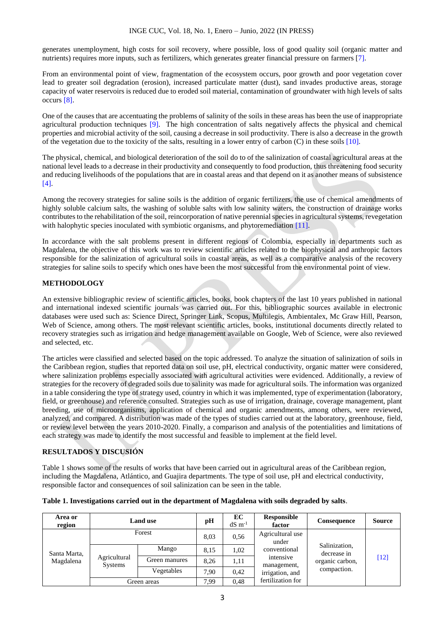generates unemployment, high costs for soil recovery, where possible, loss of good quality soil (organic matter and nutrients) requires more inputs, such as fertilizers, which generates greater financial pressure on farmers [7].

From an environmental point of view, fragmentation of the ecosystem occurs, poor growth and poor vegetation cover lead to greater soil degradation (erosion), increased particulate matter (dust), sand invades productive areas, storage capacity of water reservoirs is reduced due to eroded soil material, contamination of groundwater with high levels of salts occurs [8].

One of the causes that are accentuating the problems of salinity of the soils in these areas has been the use of inappropriate agricultural production techniques [9]. The high concentration of salts negatively affects the physical and chemical properties and microbial activity of the soil, causing a decrease in soil productivity. There is also a decrease in the growth of the vegetation due to the toxicity of the salts, resulting in a lower entry of carbon (C) in these soils [10].

The physical, chemical, and biological deterioration of the soil do to of the salinization of coastal agricultural areas at the national level leads to a decrease in their productivity and consequently to food production, thus threatening food security and reducing livelihoods of the populations that are in coastal areas and that depend on it as another means of subsistence [4].

Among the recovery strategies for saline soils is the addition of organic fertilizers, the use of chemical amendments of highly soluble calcium salts, the washing of soluble salts with low salinity waters, the construction of drainage works contributes to the rehabilitation of the soil, reincorporation of native perennial species in agricultural systems, revegetation with halophytic species inoculated with symbiotic organisms, and phytoremediation [11].

In accordance with the salt problems present in different regions of Colombia, especially in departments such as Magdalena, the objective of this work was to review scientific articles related to the biophysical and anthropic factors responsible for the salinization of agricultural soils in coastal areas, as well as a comparative analysis of the recovery strategies for saline soils to specify which ones have been the most successful from the environmental point of view.

# **METHODOLOGY**

An extensive bibliographic review of scientific articles, books, book chapters of the last 10 years published in national and international indexed scientific journals was carried out. For this, bibliographic sources available in electronic databases were used such as: Science Direct, Springer Link, Scopus, Multilegis, Ambientalex, Mc Graw Hill, Pearson, Web of Science, among others. The most relevant scientific articles, books, institutional documents directly related to recovery strategies such as irrigation and hedge management available on Google, Web of Science, were also reviewed and selected, etc.

The articles were classified and selected based on the topic addressed. To analyze the situation of salinization of soils in the Caribbean region, studies that reported data on soil use, pH, electrical conductivity, organic matter were considered, where salinization problems especially associated with agricultural activities were evidenced. Additionally, a review of strategies for the recovery of degraded soils due to salinity was made for agricultural soils. The information was organized in a table considering the type of strategy used, country in which it was implemented, type of experimentation (laboratory, field, or greenhouse) and reference consulted. Strategies such as use of irrigation, drainage, coverage management, plant breeding, use of microorganisms, application of chemical and organic amendments, among others, were reviewed, analyzed, and compared. A distribution was made of the types of studies carried out at the laboratory, greenhouse, field, or review level between the years 2010-2020. Finally, a comparison and analysis of the potentialities and limitations of each strategy was made to identify the most successful and feasible to implement at the field level.

# **RESULTADOS Y DISCUSIÓN**

Table 1 shows some of the results of works that have been carried out in agricultural areas of the Caribbean region, including the Magdalena, Atlántico, and Guajira departments. The type of soil use, pH and electrical conductivity, responsible factor and consequences of soil salinization can be seen in the table.

|  |  | Table 1. Investigations carried out in the department of Magdalena with soils degraded by salts. |  |
|--|--|--------------------------------------------------------------------------------------------------|--|
|  |  |                                                                                                  |  |

| Area or<br>region | <b>Land use</b>                |               | pH   | EC<br>$dS \, \text{m}^{-1}$ | Responsible<br>factor                    | Consequence                                                    | <b>Source</b> |
|-------------------|--------------------------------|---------------|------|-----------------------------|------------------------------------------|----------------------------------------------------------------|---------------|
|                   | Forest                         |               | 8.03 | 0.56                        | Agricultural use<br>under                |                                                                |               |
| Santa Marta,      | Agricultural<br><b>Systems</b> | Mango         | 8.15 | 1.02                        | conventional<br>intensive<br>management, | Salinization,<br>decrease in<br>organic carbon,<br>compaction. | $[12]$        |
| Magdalena         |                                | Green manures | 8.26 | 1,11                        |                                          |                                                                |               |
|                   |                                | Vegetables    | 7.90 | 0,42                        | irrigation, and                          |                                                                |               |
|                   | Green areas                    |               | 7.99 | 0.48                        | fertilization for                        |                                                                |               |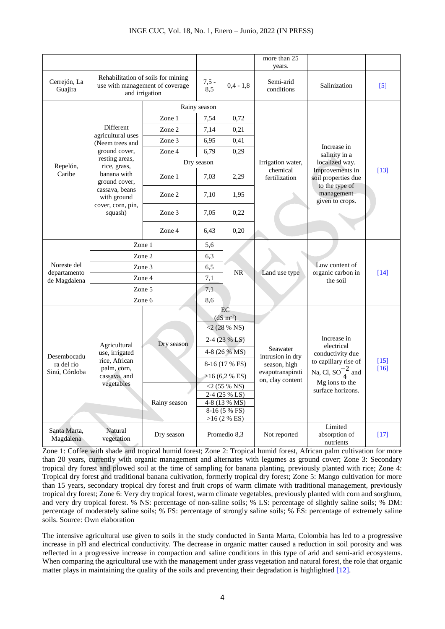|                             |                                                                                         |              |                                           |             | more than 25                                                                         |                                                                                                                                             |                  |                                       |        |
|-----------------------------|-----------------------------------------------------------------------------------------|--------------|-------------------------------------------|-------------|--------------------------------------------------------------------------------------|---------------------------------------------------------------------------------------------------------------------------------------------|------------------|---------------------------------------|--------|
| Cerrejón, La<br>Guajira     | Rehabilitation of soils for mining<br>use with management of coverage<br>and irrigation |              | $7,5 -$<br>8,5                            | $0,4 - 1,8$ | years.<br>Semi-arid<br>conditions                                                    | Salinization                                                                                                                                | $[5]$            |                                       |        |
|                             |                                                                                         | Rainy season |                                           |             |                                                                                      |                                                                                                                                             |                  |                                       |        |
|                             |                                                                                         | Zone 1       | 7,54                                      | 0,72        |                                                                                      | Increase in<br>salinity in a<br>localized way.<br>Improvements in<br>soil properties due<br>to the type of<br>management<br>given to crops. | $[13]$           |                                       |        |
|                             | Different<br>agricultural uses<br>(Neem trees and                                       | Zone 2       | 7,14                                      | 0,21        |                                                                                      |                                                                                                                                             |                  |                                       |        |
|                             |                                                                                         | Zone 3       | 6,95                                      | 0,41        |                                                                                      |                                                                                                                                             |                  |                                       |        |
|                             | ground cover,                                                                           | Zone 4       | 6,79                                      | 0,29        |                                                                                      |                                                                                                                                             |                  |                                       |        |
| Repelón,                    | resting areas,<br>rice, grass,                                                          |              | Dry season                                |             | Irrigation water,                                                                    |                                                                                                                                             |                  |                                       |        |
| Caribe                      | banana with<br>ground cover,                                                            | Zone 1       | 7,03                                      | 2,29        | chemical<br>fertilization                                                            |                                                                                                                                             |                  |                                       |        |
|                             | cassava, beans<br>with ground<br>cover, corn, pin,<br>squash)                           | Zone 2       | 7,10                                      | 1,95        |                                                                                      |                                                                                                                                             |                  |                                       |        |
|                             |                                                                                         | Zone 3       | 7,05                                      | 0,22        |                                                                                      |                                                                                                                                             |                  |                                       |        |
|                             |                                                                                         | Zone 4       | 6,43                                      | 0,20        |                                                                                      |                                                                                                                                             |                  |                                       |        |
|                             | Zone 1<br>Zone 2                                                                        |              | 5,6                                       |             | Land use type                                                                        | Low content of<br>organic carbon in<br>the soil                                                                                             | $[14]$           |                                       |        |
|                             |                                                                                         |              | 6,3                                       |             |                                                                                      |                                                                                                                                             |                  |                                       |        |
| Noreste del<br>departamento | Zone 3                                                                                  | 6,5          | <b>NR</b>                                 |             |                                                                                      |                                                                                                                                             |                  |                                       |        |
| de Magdalena                | Zone 4                                                                                  | 7,1          |                                           |             |                                                                                      |                                                                                                                                             |                  |                                       |        |
|                             | Zone 5                                                                                  |              | 7,1                                       |             |                                                                                      |                                                                                                                                             |                  |                                       |        |
|                             | Zone 6                                                                                  |              | 8,6                                       |             |                                                                                      |                                                                                                                                             |                  |                                       |        |
|                             |                                                                                         |              | EC<br>$(dS \, m^{-1})$<br>$<$ 2 (28 % NS) |             |                                                                                      | Increase in<br>electrical<br>conductivity due<br>to capillary rise of<br>Na, Cl, $SO_4^{-2}$ and<br>Mg ions to the<br>surface horizons.     | $[15]$<br>$[16]$ |                                       |        |
|                             |                                                                                         |              |                                           |             |                                                                                      |                                                                                                                                             |                  |                                       |        |
|                             |                                                                                         |              | $2-4(23\%$ LS)                            |             | Seawater<br>intrusion in dry<br>season, high<br>evapotranspirati<br>on, clay content |                                                                                                                                             |                  |                                       |        |
|                             | Agricultural<br>use, irrigated                                                          | Dry season   | 4-8 (26 % MS)                             |             |                                                                                      |                                                                                                                                             |                  |                                       |        |
| Desembocadu<br>ra del río   | rice, African                                                                           |              | 8-16 (17 % FS)                            |             |                                                                                      |                                                                                                                                             |                  |                                       |        |
| Sinú, Córdoba               | palm, corn,<br>cassava, and<br>vegetables                                               |              | >16(6,2 % ES)                             |             |                                                                                      |                                                                                                                                             |                  |                                       |        |
|                             |                                                                                         |              | $<$ 2 (55 % NS)                           |             |                                                                                      |                                                                                                                                             |                  |                                       |        |
|                             |                                                                                         |              | 2-4 (25 % LS)                             |             |                                                                                      |                                                                                                                                             |                  |                                       |        |
|                             |                                                                                         | Rainy season | 4-8 (13 % MS)<br>8-16 (5 % FS)            |             |                                                                                      |                                                                                                                                             |                  |                                       |        |
|                             |                                                                                         |              | >16(2%ES)                                 |             |                                                                                      |                                                                                                                                             |                  |                                       |        |
| Santa Marta,<br>Magdalena   | Natural<br>vegetation                                                                   | Dry season   | Promedio 8,3                              |             |                                                                                      |                                                                                                                                             | Not reported     | Limited<br>absorption of<br>nutrients | $[17]$ |

Zone 1: Coffee with shade and tropical humid forest; Zone 2: Tropical humid forest, African palm cultivation for more than 20 years, currently with organic management and alternates with legumes as ground cover; Zone 3: Secondary tropical dry forest and plowed soil at the time of sampling for banana planting, previously planted with rice; Zone 4: Tropical dry forest and traditional banana cultivation, formerly tropical dry forest; Zone 5: Mango cultivation for more than 15 years, secondary tropical dry forest and fruit crops of warm climate with traditional management, previously tropical dry forest; Zone 6: Very dry tropical forest, warm climate vegetables, previously planted with corn and sorghum, and very dry tropical forest. % NS: percentage of non-saline soils; % LS: percentage of slightly saline soils; % DM: percentage of moderately saline soils; % FS: percentage of strongly saline soils; % ES: percentage of extremely saline soils. Source: Own elaboration

The intensive agricultural use given to soils in the study conducted in Santa Marta, Colombia has led to a progressive increase in pH and electrical conductivity. The decrease in organic matter caused a reduction in soil porosity and was reflected in a progressive increase in compaction and saline conditions in this type of arid and semi-arid ecosystems. When comparing the agricultural use with the management under grass vegetation and natural forest, the role that organic matter plays in maintaining the quality of the soils and preventing their degradation is highlighted [12].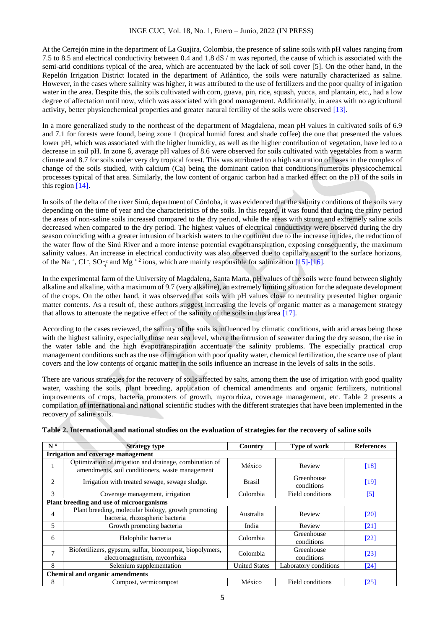At the Cerrejón mine in the department of La Guajira, Colombia, the presence of saline soils with pH values ranging from 7.5 to 8.5 and electrical conductivity between 0.4 and 1.8 dS / m was reported, the cause of which is associated with the semi-arid conditions typical of the area, which are accentuated by the lack of soil cover [5]. On the other hand, in the Repelón Irrigation District located in the department of Atlántico, the soils were naturally characterized as saline. However, in the cases where salinity was higher, it was attributed to the use of fertilizers and the poor quality of irrigation water in the area. Despite this, the soils cultivated with corn, guava, pin, rice, squash, yucca, and plantain, etc., had a low degree of affectation until now, which was associated with good management. Additionally, in areas with no agricultural activity, better physicochemical properties and greater natural fertility of the soils were observed [13].

In a more generalized study to the northeast of the department of Magdalena, mean pH values in cultivated soils of 6.9 and 7.1 for forests were found, being zone 1 (tropical humid forest and shade coffee) the one that presented the values lower pH, which was associated with the higher humidity, as well as the higher contribution of vegetation, have led to a decrease in soil pH. In zone 6, average pH values of 8.6 were observed for soils cultivated with vegetables from a warm climate and 8.7 for soils under very dry tropical forest. This was attributed to a high saturation of bases in the complex of change of the soils studied, with calcium (Ca) being the dominant cation that conditions numerous physicochemical processes typical of that area. Similarly, the low content of organic carbon had a marked effect on the pH of the soils in this region [14].

In soils of the delta of the river Sinú, department of Córdoba, it was evidenced that the salinity conditions of the soils vary depending on the time of year and the characteristics of the soils. In this regard, it was found that during the rainy period the areas of non-saline soils increased compared to the dry period, while the areas with strong and extremely saline soils decreased when compared to the dry period. The highest values of electrical conductivity were observed during the dry season coinciding with a greater intrusion of brackish waters to the continent due to the increase in tides, the reduction of the water flow of the Sinú River and a more intense potential evapotranspiration, exposing consequently, the maximum salinity values. An increase in electrical conductivity was also observed due to capillary ascent to the surface horizons, of the Na<sup>+</sup>, Cl, SO<sup>-2</sup> and Mg<sup>+2</sup> ions, which are mainly responsible for salinization [15]-[16].

In the experimental farm of the University of Magdalena, Santa Marta, pH values of the soils were found between slightly alkaline and alkaline, with a maximum of 9.7 (very alkaline), an extremely limiting situation for the adequate development of the crops. On the other hand, it was observed that soils with pH values close to neutrality presented higher organic matter contents. As a result of, these authors suggest increasing the levels of organic matter as a management strategy that allows to attenuate the negative effect of the salinity of the soils in this area [17].

According to the cases reviewed, the salinity of the soils is influenced by climatic conditions, with arid areas being those with the highest salinity, especially those near sea level, where the intrusion of seawater during the dry season, the rise in the water table and the high evapotranspiration accentuate the salinity problems. The especially practical crop management conditions such as the use of irrigation with poor quality water, chemical fertilization, the scarce use of plant covers and the low contents of organic matter in the soils influence an increase in the levels of salts in the soils.

There are various strategies for the recovery of soils affected by salts, among them the use of irrigation with good quality water, washing the soils, plant breeding, application of chemical amendments and organic fertilizers, nutritional improvements of crops, bacteria promoters of growth, mycorrhiza, coverage management, etc. Table 2 presents a compilation of international and national scientific studies with the different strategies that have been implemented in the recovery of saline soils.

| $N^{\circ}$                            | <b>Strategy type</b>                                                                                       | Country              | Type of work             | <b>References</b> |  |  |  |  |  |
|----------------------------------------|------------------------------------------------------------------------------------------------------------|----------------------|--------------------------|-------------------|--|--|--|--|--|
| Irrigation and coverage management     |                                                                                                            |                      |                          |                   |  |  |  |  |  |
|                                        | Optimization of irrigation and drainage, combination of<br>amendments, soil conditioners, waste management | México               | Review                   | [18]              |  |  |  |  |  |
| $\overline{c}$                         | Irrigation with treated sewage, sewage sludge.                                                             | <b>Brasil</b>        | Greenhouse<br>conditions | [19]              |  |  |  |  |  |
| 3                                      | Coverage management, irrigation                                                                            | Colombia             | Field conditions         | [5]               |  |  |  |  |  |
|                                        | Plant breeding and use of microorganisms                                                                   |                      |                          |                   |  |  |  |  |  |
| 4                                      | Plant breeding, molecular biology, growth promoting<br>bacteria, rhizospheric bacteria                     | Australia            | Review                   | [20]              |  |  |  |  |  |
| 5                                      | Growth promoting bacteria                                                                                  | India                | Review                   | [21]              |  |  |  |  |  |
| 6                                      | Halophilic bacteria                                                                                        | Colombia             | Greenhouse<br>conditions | [22]              |  |  |  |  |  |
| $\overline{7}$                         | Biofertilizers, gypsum, sulfur, biocompost, biopolymers,<br>electromagnetism, mycorrhiza                   | Colombia             | Greenhouse<br>conditions | [23]              |  |  |  |  |  |
| 8                                      | Selenium supplementation                                                                                   | <b>United States</b> | Laboratory conditions    | [24]              |  |  |  |  |  |
| <b>Chemical and organic amendments</b> |                                                                                                            |                      |                          |                   |  |  |  |  |  |
| 8                                      | Compost, vermicompost                                                                                      | México               | Field conditions         | [25]              |  |  |  |  |  |

**Table 2. International and national studies on the evaluation of strategies for the recovery of saline soils**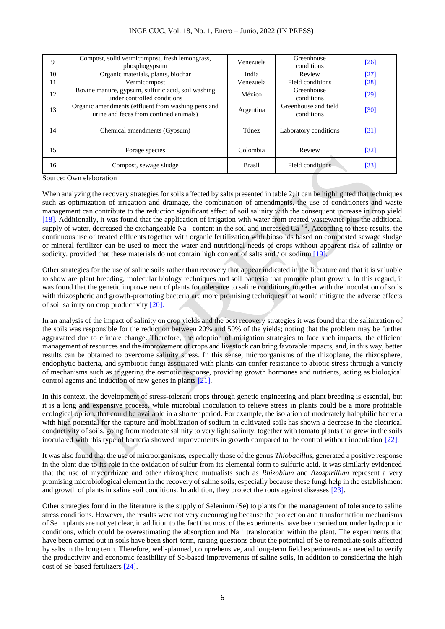| 9  | Compost, solid vermicompost, fresh lemongrass,<br>phosphogypsum                              | Venezuela     | Greenhouse<br>conditions           | [26]   |
|----|----------------------------------------------------------------------------------------------|---------------|------------------------------------|--------|
| 10 | Organic materials, plants, biochar                                                           | India         | Review                             | [27]   |
| 11 | Vermicompost                                                                                 | Venezuela     | Field conditions                   | [28]   |
| 12 | Bovine manure, gypsum, sulfuric acid, soil washing<br>under controlled conditions            | México        | Greenhouse<br>conditions           | [29]   |
| 13 | Organic amendments (effluent from washing pens and<br>urine and feces from confined animals) | Argentina     | Greenhouse and field<br>conditions | [30]   |
| 14 | Chemical amendments (Gypsum)                                                                 | <b>Túnez</b>  | Laboratory conditions              | $[31]$ |
| 15 | Forage species                                                                               | Colombia      | Review                             | $[32]$ |
| 16 | Compost, sewage sludge                                                                       | <b>Brasil</b> | Field conditions                   | [33]   |

Source: Own elaboration

When analyzing the recovery strategies for soils affected by salts presented in table 2, it can be highlighted that techniques such as optimization of irrigation and drainage, the combination of amendments, the use of conditioners and waste management can contribute to the reduction significant effect of soil salinity with the consequent increase in crop yield [18]. Additionally, it was found that the application of irrigation with water from treated wastewater plus the additional supply of water, decreased the exchangeable Na<sup>+</sup> content in the soil and increased Ca<sup>+2</sup>. According to these results, the continuous use of treated effluents together with organic fertilization with biosolids based on composted sewage sludge or mineral fertilizer can be used to meet the water and nutritional needs of crops without apparent risk of salinity or sodicity. provided that these materials do not contain high content of salts and / or sodium [19].

Other strategies for the use of saline soils rather than recovery that appear indicated in the literature and that it is valuable to show are plant breeding, molecular biology techniques and soil bacteria that promote plant growth. In this regard, it was found that the genetic improvement of plants for tolerance to saline conditions, together with the inoculation of soils with rhizospheric and growth-promoting bacteria are more promising techniques that would mitigate the adverse effects of soil salinity on crop productivity [20].

In an analysis of the impact of salinity on crop yields and the best recovery strategies it was found that the salinization of the soils was responsible for the reduction between 20% and 50% of the yields; noting that the problem may be further aggravated due to climate change. Therefore, the adoption of mitigation strategies to face such impacts, the efficient management of resources and the improvement of crops and livestock can bring favorable impacts, and, in this way, better results can be obtained to overcome salinity stress. In this sense, microorganisms of the rhizoplane, the rhizosphere, endophytic bacteria, and symbiotic fungi associated with plants can confer resistance to abiotic stress through a variety of mechanisms such as triggering the osmotic response, providing growth hormones and nutrients, acting as biological control agents and induction of new genes in plants [21].

In this context, the development of stress-tolerant crops through genetic engineering and plant breeding is essential, but it is a long and expensive process, while microbial inoculation to relieve stress in plants could be a more profitable ecological option. that could be available in a shorter period. For example, the isolation of moderately halophilic bacteria with high potential for the capture and mobilization of sodium in cultivated soils has shown a decrease in the electrical conductivity of soils, going from moderate salinity to very light salinity, together with tomato plants that grew in the soils inoculated with this type of bacteria showed improvements in growth compared to the control without inoculation [22].

It was also found that the use of microorganisms, especially those of the genus *Thiobacillus*, generated a positive response in the plant due to its role in the oxidation of sulfur from its elemental form to sulfuric acid. It was similarly evidenced that the use of mycorrhizae and other rhizosphere mutualists such as *Rhizobium* and *Azospirillum* represent a very promising microbiological element in the recovery of saline soils, especially because these fungi help in the establishment and growth of plants in saline soil conditions. In addition, they protect the roots against diseases [23].

Other strategies found in the literature is the supply of Selenium (Se) to plants for the management of tolerance to saline stress conditions. However, the results were not very encouraging because the protection and transformation mechanisms of Se in plants are not yet clear, in addition to the fact that most of the experiments have been carried out under hydroponic conditions, which could be overestimating the absorption and  $Na$ <sup>+</sup> translocation within the plant. The experiments that have been carried out in soils have been short-term, raising questions about the potential of Se to remediate soils affected by salts in the long term. Therefore, well-planned, comprehensive, and long-term field experiments are needed to verify the productivity and economic feasibility of Se-based improvements of saline soils, in addition to considering the high cost of Se-based fertilizers [24].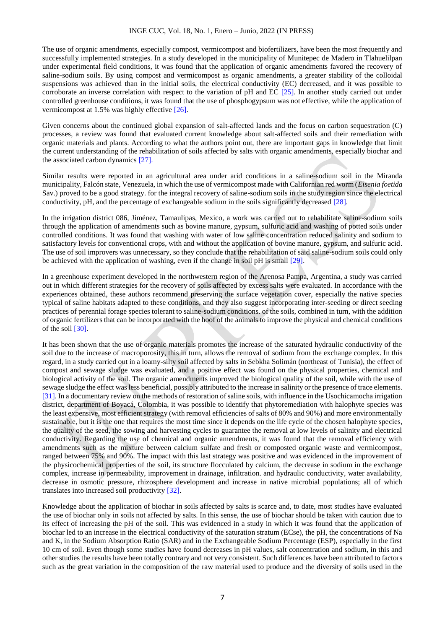The use of organic amendments, especially compost, vermicompost and biofertilizers, have been the most frequently and successfully implemented strategies. In a study developed in the municipality of Munitepec de Madero in Tlahuelilpan under experimental field conditions, it was found that the application of organic amendments favored the recovery of saline-sodium soils. By using compost and vermicompost as organic amendments, a greater stability of the colloidal suspensions was achieved than in the initial soils, the electrical conductivity (EC) decreased, and it was possible to corroborate an inverse correlation with respect to the variation of pH and EC [25]. In another study carried out under controlled greenhouse conditions, it was found that the use of phosphogypsum was not effective, while the application of vermicompost at 1.5% was highly effective [26].

Given concerns about the continued global expansion of salt-affected lands and the focus on carbon sequestration (C) processes, a review was found that evaluated current knowledge about salt-affected soils and their remediation with organic materials and plants. According to what the authors point out, there are important gaps in knowledge that limit the current understanding of the rehabilitation of soils affected by salts with organic amendments, especially biochar and the associated carbon dynamics [27].

Similar results were reported in an agricultural area under arid conditions in a saline-sodium soil in the Miranda municipality, Falcón state, Venezuela, in which the use of vermicompost made with Californian red worm (*Eisenia foetida* Sav.) proved to be a good strategy. for the integral recovery of saline-sodium soils in the study region since the electrical conductivity, pH, and the percentage of exchangeable sodium in the soils significantly decreased [28].

In the irrigation district 086, Jiménez, Tamaulipas, Mexico, a work was carried out to rehabilitate saline-sodium soils through the application of amendments such as bovine manure, gypsum, sulfuric acid and washing of potted soils under controlled conditions. It was found that washing with water of low saline concentration reduced salinity and sodium to satisfactory levels for conventional crops, with and without the application of bovine manure, gypsum, and sulfuric acid. The use of soil improvers was unnecessary, so they conclude that the rehabilitation of said saline-sodium soils could only be achieved with the application of washing, even if the change in soil pH is small [29].

In a greenhouse experiment developed in the northwestern region of the Arenosa Pampa, Argentina, a study was carried out in which different strategies for the recovery of soils affected by excess salts were evaluated. In accordance with the experiences obtained, these authors recommend preserving the surface vegetation cover, especially the native species typical of saline habitats adapted to these conditions, and they also suggest incorporating inter-seeding or direct seeding practices of perennial forage species tolerant to saline-sodium conditions. of the soils, combined in turn, with the addition of organic fertilizers that can be incorporated with the hoof of the animals to improve the physical and chemical conditions of the soil [30].

It has been shown that the use of organic materials promotes the increase of the saturated hydraulic conductivity of the soil due to the increase of macroporosity, this in turn, allows the removal of sodium from the exchange complex. In this regard, in a study carried out in a loamy-silty soil affected by salts in Sebkha Solimán (northeast of Tunisia), the effect of compost and sewage sludge was evaluated, and a positive effect was found on the physical properties, chemical and biological activity of the soil. The organic amendments improved the biological quality of the soil, while with the use of sewage sludge the effect was less beneficial, possibly attributed to the increase in salinity or the presence of trace elements. [31]. In a documentary review on the methods of restoration of saline soils, with influence in the Usochicamocha irrigation district, department of Boyacá, Colombia, it was possible to identify that phytoremediation with halophyte species was the least expensive, most efficient strategy (with removal efficiencies of salts of 80% and 90%) and more environmentally sustainable, but it is the one that requires the most time since it depends on the life cycle of the chosen halophyte species, the quality of the seed, the sowing and harvesting cycles to guarantee the removal at low levels of salinity and electrical conductivity. Regarding the use of chemical and organic amendments, it was found that the removal efficiency with amendments such as the mixture between calcium sulfate and fresh or composted organic waste and vermicompost, ranged between 75% and 90%. The impact with this last strategy was positive and was evidenced in the improvement of the physicochemical properties of the soil, its structure flocculated by calcium, the decrease in sodium in the exchange complex, increase in permeability, improvement in drainage, infiltration. and hydraulic conductivity, water availability, decrease in osmotic pressure, rhizosphere development and increase in native microbial populations; all of which translates into increased soil productivity [32].

Knowledge about the application of biochar in soils affected by salts is scarce and, to date, most studies have evaluated the use of biochar only in soils not affected by salts. In this sense, the use of biochar should be taken with caution due to its effect of increasing the pH of the soil. This was evidenced in a study in which it was found that the application of biochar led to an increase in the electrical conductivity of the saturation stratum (ECse), the pH, the concentrations of Na and K, in the Sodium Absorption Ratio (SAR) and in the Exchangeable Sodium Percentage (ESP), especially in the first 10 cm of soil. Even though some studies have found decreases in pH values, salt concentration and sodium, in this and other studies the results have been totally contrary and not very consistent. Such differences have been attributed to factors such as the great variation in the composition of the raw material used to produce and the diversity of soils used in the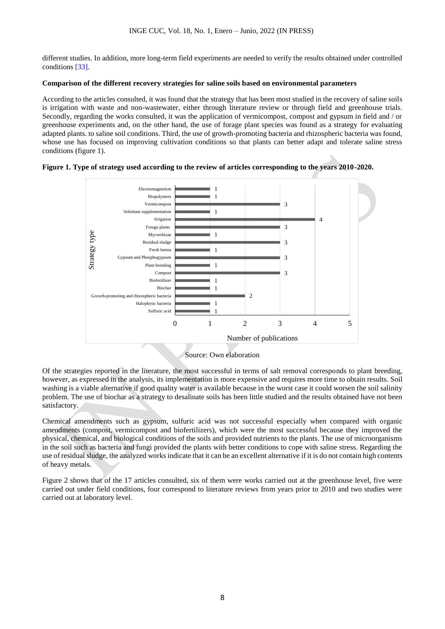different studies. In addition, more long-term field experiments are needed to verify the results obtained under controlled conditions [33].

## **Comparison of the different recovery strategies for saline soils based on environmental parameters**

According to the articles consulted, it was found that the strategy that has been most studied in the recovery of saline soils is irrigation with waste and non-wastewater, either through literature review or through field and greenhouse trials. Secondly, regarding the works consulted, it was the application of vermicompost, compost and gypsum in field and / or greenhouse experiments and, on the other hand, the use of forage plant species was found as a strategy for evaluating adapted plants. to saline soil conditions. Third, the use of growth-promoting bacteria and rhizospheric bacteria was found, whose use has focused on improving cultivation conditions so that plants can better adapt and tolerate saline stress conditions (figure 1).





Source: Own elaboration

Of the strategies reported in the literature, the most successful in terms of salt removal corresponds to plant breeding, however, as expressed in the analysis, its implementation is more expensive and requires more time to obtain results. Soil washing is a viable alternative if good quality water is available because in the worst case it could worsen the soil salinity problem. The use of biochar as a strategy to desalinate soils has been little studied and the results obtained have not been satisfactory.

Chemical amendments such as gypsum, sulfuric acid was not successful especially when compared with organic amendments (compost, vermicompost and biofertilizers), which were the most successful because they improved the physical, chemical, and biological conditions of the soils and provided nutrients to the plants. The use of microorganisms in the soil such as bacteria and fungi provided the plants with better conditions to cope with saline stress. Regarding the use of residual sludge, the analyzed works indicate that it can be an excellent alternative if it is do not contain high contents of heavy metals.

Figure 2 shows that of the 17 articles consulted, six of them were works carried out at the greenhouse level, five were carried out under field conditions, four correspond to literature reviews from years prior to 2010 and two studies were carried out at laboratory level.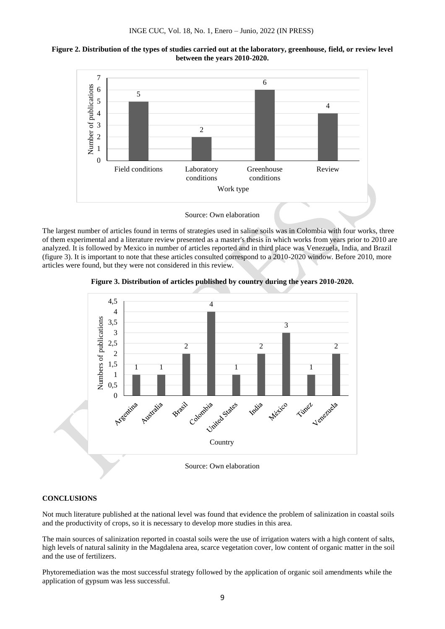



The largest number of articles found in terms of strategies used in saline soils was in Colombia with four works, three of them experimental and a literature review presented as a master's thesis in which works from years prior to 2010 are analyzed. It is followed by Mexico in number of articles reported and in third place was Venezuela, India, and Brazil (figure 3). It is important to note that these articles consulted correspond to a 2010-2020 window. Before 2010, more articles were found, but they were not considered in this review.





## **CONCLUSIONS**

Not much literature published at the national level was found that evidence the problem of salinization in coastal soils and the productivity of crops, so it is necessary to develop more studies in this area.

The main sources of salinization reported in coastal soils were the use of irrigation waters with a high content of salts, high levels of natural salinity in the Magdalena area, scarce vegetation cover, low content of organic matter in the soil and the use of fertilizers.

Phytoremediation was the most successful strategy followed by the application of organic soil amendments while the application of gypsum was less successful.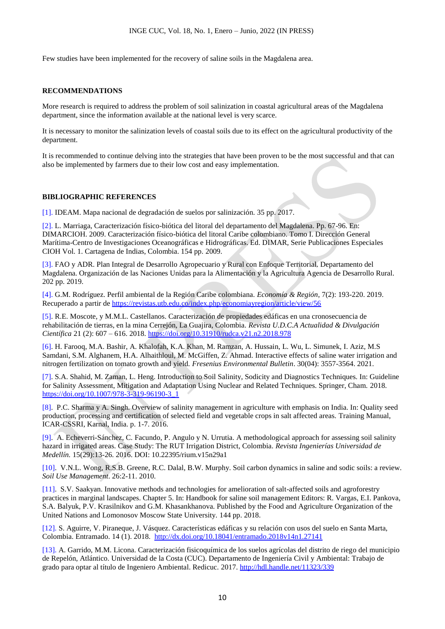Few studies have been implemented for the recovery of saline soils in the Magdalena area.

#### **RECOMMENDATIONS**

More research is required to address the problem of soil salinization in coastal agricultural areas of the Magdalena department, since the information available at the national level is very scarce.

It is necessary to monitor the salinization levels of coastal soils due to its effect on the agricultural productivity of the department.

It is recommended to continue delving into the strategies that have been proven to be the most successful and that can also be implemented by farmers due to their low cost and easy implementation.

#### **BIBLIOGRAPHIC REFERENCES**

[1]. IDEAM. Mapa nacional de degradación de suelos por salinización. 35 pp. 2017.

[2]. L. Marriaga, Caracterización físico-biótica del litoral del departamento del Magdalena. Pp. 67-96. En: DIMARCIOH. 2009. Caracterización físico-biótica del litoral Caribe colombiano. Tomo I. Dirección General Marítima-Centro de Investigaciones Oceanográficas e Hidrográficas. Ed. DIMAR, Serie Publicaciones Especiales CIOH Vol. 1. Cartagena de Indias, Colombia. 154 pp. 2009.

[3]. FAO y ADR. Plan Integral de Desarrollo Agropecuario y Rural con Enfoque Territorial. Departamento del Magdalena. Organización de las Naciones Unidas para la Alimentación y la Agricultura Agencia de Desarrollo Rural. 202 pp. 2019.

[4]. G.M. Rodríguez. Perfil ambiental de la Región Caribe colombiana. *Economía & Región*, 7(2): 193-220. 2019. Recuperado a partir de<https://revistas.utb.edu.co/index.php/economiayregion/article/view/56>

[5]. R.E. Moscote, y M.M.L. Castellanos. Caracterización de propiedades edáficas en una cronosecuencia de rehabilitación de tierras, en la mina Cerrejón, La Guajira, Colombia. *Revista U.D.C.A Actualidad & Divulgación Científica* 21 (2): 607 – 616. 2018*.* https://doi.org/10.31910/rudca.v21.n2.2018.978

[6]. H. Farooq, M.A. Bashir, A. Khalofah, K.A. Khan, M. Ramzan, A. Hussain, L. Wu, L. Simunek, I. Aziz, M.S Samdani, S.M. Alghanem, H.A. Alhaithloul, M. McGiffen, Z. Ahmad. Interactive effects of saline water irrigation and nitrogen fertilization on tomato growth and yield. *Fresenius Environmental Bulletin*. 30(04): 3557-3564. 2021.

[7]. S.A. Shahid, M. Zaman, L. Heng. Introduction to Soil Salinity, Sodicity and Diagnostics Techniques. In: Guideline for Salinity Assessment, Mitigation and Adaptation Using Nuclear and Related Techniques. Springer, Cham. 2018. [https://doi.org/10.1007/978-3-319-96190-3\\_1](https://doi.org/10.1007/978-3-319-96190-3_1)

[8]. P.C. Sharma y A. Singh. Overview of salinity management in agriculture with emphasis on India. In: Quality seed production, processing and certification of selected field and vegetable crops in salt affected areas. Training Manual, ICAR-CSSRI, Karnal, India. p. 1-7. 2016.

[9]. A. Echeverri-Sánchez, C. Facundo, P. Angulo y N. Urrutia. A methodological approach for assessing soil salinity hazard in irrigated areas. Case Study: The RUT Irrigation District, Colombia. *Revista Ingenierías Universidad de Medellín.* 15(29):13-26. 2016. DOI: 10.22395/rium.v15n29a1

[10]. V.N.L. Wong, R.S.B. Greene, R.C. Dalal, B.W. Murphy. Soil carbon dynamics in saline and sodic soils: a review. *Soil Use Management*. 26:2-11. 2010.

[11]. S.V. Saakyan. Innovative methods and technologies for amelioration of salt-affected soils and agroforestry practices in marginal landscapes. Chapter 5. In: Handbook for saline soil management Editors: R. Vargas, E.I. Pankova, S.A. Balyuk, P.V. Krasilnikov and G.M. Khasankhanova. Published by the Food and Agriculture Organization of the United Nations and Lomonosov Moscow State University. 144 pp. 2018.

[12]. S. Aguirre, V. Piraneque, J. Vásquez. Características edáficas y su relación con usos del suelo en Santa Marta, Colombia. Entramado. 14 (1). 2018.<http://dx.doi.org/10.18041/entramado.2018v14n1.27141>

[13]. A. Garrido, M.M. Licona. Caracterización fisicoquímica de los suelos agrícolas del distrito de riego del municipio de Repelón, Atlántico. Universidad de la Costa (CUC). Departamento de Ingeniería Civil y Ambiental: Trabajo de grado para optar al título de Ingeniero Ambiental. Redicuc. 2017.<http://hdl.handle.net/11323/339>